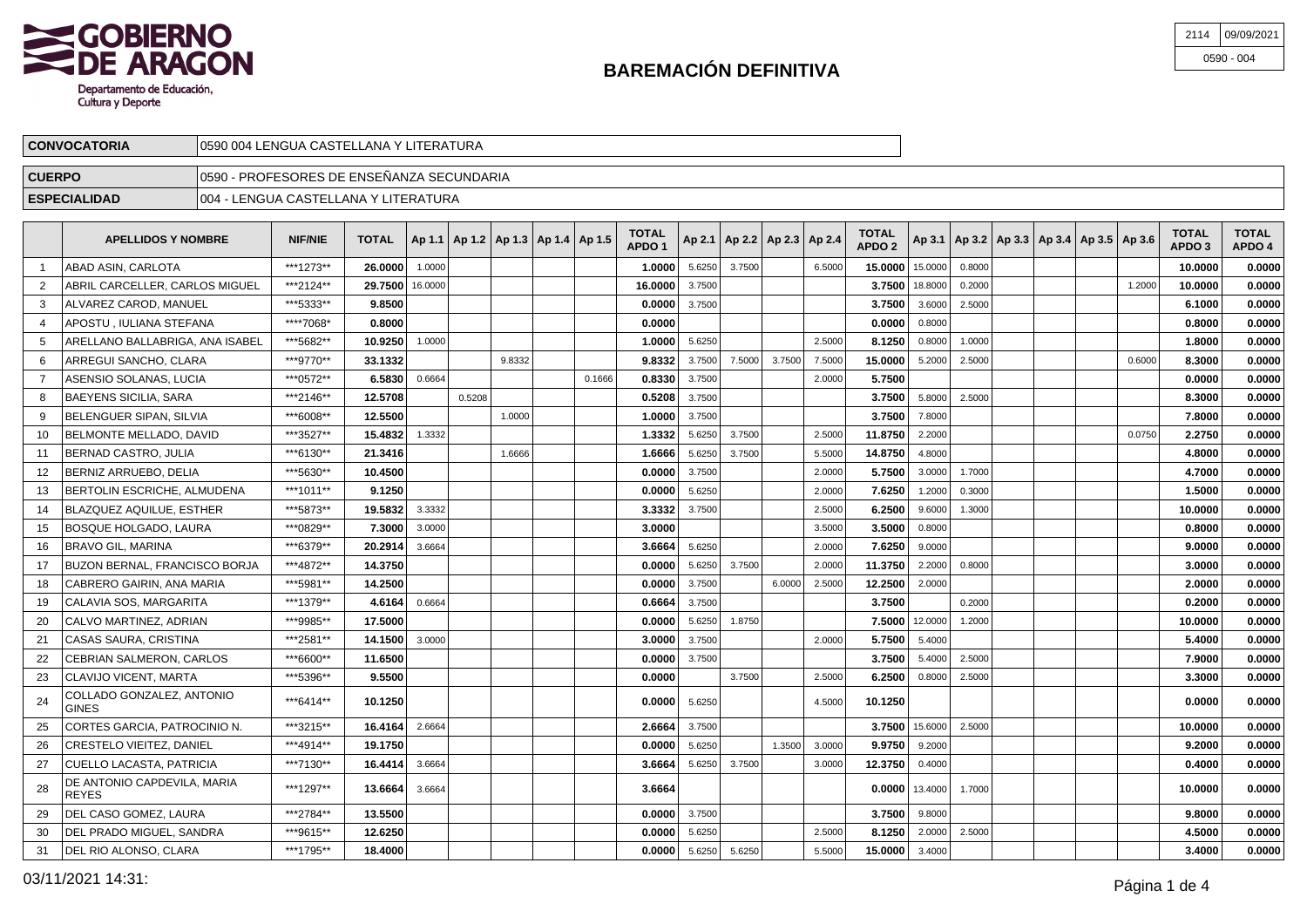

| 2114 09/09/2021 |
|-----------------|
| $0590 - 004$    |

| <b>'OCATORIA</b> | TERATURA<br><b>ENGL</b><br>ገበ4<br>. ∟∟LANA ⊻ ' ' '<br>$\overline{A}$<br>. . CASTE. |  |
|------------------|------------------------------------------------------------------------------------|--|
| <b>CUERPO</b>    | )FESORES DE ENSEÑANZA SECUNDARIA<br>PRO.<br>0590                                   |  |

## **ESPECIALIDAD** 004 - LENGUA CASTELLANA Y LITERATURA

|    | <b>APELLIDOS Y NOMBRE</b>                   | <b>NIF/NIE</b> | <b>TOTAL</b> |         | Ap 1.1   Ap 1.2   Ap 1.3   Ap 1.4   Ap 1.5 |        |        | <b>TOTAL</b><br>APDO <sub>1</sub> |        | Ap 2.1   Ap 2.2   Ap 2.3   Ap 2.4 |        |        | <b>TOTAL</b><br>APDO <sub>2</sub> |                    |        | Ap 3.1   Ap 3.2   Ap 3.3   Ap 3.4   Ap 3.5   Ap 3.6 |  |        | <b>TOTAL</b><br>APDO <sub>3</sub> | <b>TOTAL</b><br>APDO 4 |
|----|---------------------------------------------|----------------|--------------|---------|--------------------------------------------|--------|--------|-----------------------------------|--------|-----------------------------------|--------|--------|-----------------------------------|--------------------|--------|-----------------------------------------------------|--|--------|-----------------------------------|------------------------|
|    | <b>ABAD ASIN, CARLOTA</b>                   | ***1273**      | 26.0000      | 1.0000  |                                            |        |        | 1.0000                            | 5.6250 | 3.7500                            |        | 6.5000 | 15,0000                           | 15.0000            | 0.8000 |                                                     |  |        | 10,0000                           | 0.0000                 |
|    | ABRIL CARCELLER. CARLOS MIGUEL              | ***2124**      | 29.7500      | 16,0000 |                                            |        |        | 16.0000                           | 3.7500 |                                   |        |        | 3.7500                            | 18.8000            | 0.2000 |                                                     |  | 1.2000 | 10.0000                           | 0.0000                 |
| 3  | ALVAREZ CAROD. MANUEL                       | ***5333**      | 9.8500       |         |                                            |        |        | 0.0000                            | 3.7500 |                                   |        |        | 3.7500                            | 3.6000             | 2.5000 |                                                     |  |        | 6.1000                            | 0.0000                 |
|    | APOSTU . IULIANA STEFANA                    | ****7068*      | 0.8000       |         |                                            |        |        | 0.0000                            |        |                                   |        |        | 0.0000                            | 0.8000             |        |                                                     |  |        | 0.8000                            | 0.0000                 |
| 5  | ARELLANO BALLABRIGA, ANA ISABEL             | ***5682**      | 10.9250      | 1.0000  |                                            |        |        | 1.0000                            | 5.6250 |                                   |        | 2.5000 | 8.1250                            | 0.8000             | 1.0000 |                                                     |  |        | 1.8000                            | 0.0000                 |
| 6  | ARREGUI SANCHO, CLARA                       | ***9770**      | 33.1332      |         |                                            | 9.8332 |        | 9.8332                            | 3.7500 | 7.5000                            | 3.7500 | 7.5000 | 15.0000                           | 5.2000             | 2.5000 |                                                     |  | 0.6000 | 8.3000                            | 0.0000                 |
|    | ASENSIO SOLANAS, LUCIA                      | ***0572**      | 6.5830       | 0.6664  |                                            |        | 0.1666 | 0.8330                            | 3.7500 |                                   |        | 2.0000 | 5.7500                            |                    |        |                                                     |  |        | 0.0000                            | 0.0000                 |
| 8  | <b>BAEYENS SICILIA, SARA</b>                | ***2146**      | 12.5708      |         | 0.5208                                     |        |        | 0.5208                            | 3.7500 |                                   |        |        | 3.7500                            | 5.8000             | 2.5000 |                                                     |  |        | 8.3000                            | 0.0000                 |
| 9  | BELENGUER SIPAN, SILVIA                     | ***6008**      | 12.5500      |         |                                            | 1.0000 |        | 1.0000                            | 3.7500 |                                   |        |        | 3.7500                            | 7.8000             |        |                                                     |  |        | 7.8000                            | 0.0000                 |
| 10 | BELMONTE MELLADO, DAVID                     | ***3527**      | 15.4832      | 1.3332  |                                            |        |        | 1.3332                            | 5.6250 | 3.7500                            |        | 2.5000 | 11.8750                           | 2.2000             |        |                                                     |  | 0.0750 | 2.2750                            | 0.0000                 |
| 11 | BERNAD CASTRO, JULIA                        | ***6130**      | 21.3416      |         |                                            | 1.6666 |        | 1.6666                            | 5.6250 | 3.7500                            |        | 5.5000 | 14.8750                           | 4.8000             |        |                                                     |  |        | 4.8000                            | 0.0000                 |
| 12 | BERNIZ ARRUEBO, DELIA                       | ***5630**      | 10.4500      |         |                                            |        |        | 0.0000                            | 3.7500 |                                   |        | 2.0000 | 5.7500                            | 3.0000             | 1.7000 |                                                     |  |        | 4.7000                            | 0.0000                 |
| 13 | BERTOLIN ESCRICHE, ALMUDENA                 | ***1011**      | 9.1250       |         |                                            |        |        | 0.0000                            | 5.6250 |                                   |        | 2.0000 | 7.6250                            | 1.2000             | 0.3000 |                                                     |  |        | 1.5000                            | 0.0000                 |
| 14 | <b>BLAZQUEZ AQUILUE, ESTHER</b>             | ***5873**      | 19.5832      | 3.3332  |                                            |        |        | 3.3332                            | 3.7500 |                                   |        | 2.5000 | 6.2500                            | 9.6000             | 1.3000 |                                                     |  |        | 10.0000                           | 0.0000                 |
| 15 | <b>BOSQUE HOLGADO, LAURA</b>                | ***0829**      | 7.3000       | 3.0000  |                                            |        |        | 3.0000                            |        |                                   |        | 3.5000 | 3.5000                            | 0.8000             |        |                                                     |  |        | 0.8000                            | 0.0000                 |
| 16 | <b>BRAVO GIL, MARINA</b>                    | ***6379**      | 20.2914      | 3.6664  |                                            |        |        | 3.6664                            | 5.6250 |                                   |        | 2.0000 | 7.6250                            | 9.0000             |        |                                                     |  |        | 9.0000                            | 0.0000                 |
| 17 | BUZON BERNAL, FRANCISCO BORJA               | ***4872**      | 14.3750      |         |                                            |        |        | 0.0000                            | 5.6250 | 3.7500                            |        | 2.0000 | 11.3750                           | 2.2000             | 0.8000 |                                                     |  |        | 3.0000                            | 0.0000                 |
| 18 | CABRERO GAIRIN, ANA MARIA                   | ***5981**      | 14.2500      |         |                                            |        |        | 0.0000                            | 3.7500 |                                   | 6.0000 | 2.5000 | 12.2500                           | 2.0000             |        |                                                     |  |        | 2.0000                            | 0.0000                 |
| 19 | CALAVIA SOS, MARGARITA                      | ***1379**      | 4.6164       | 0.6664  |                                            |        |        | 0.6664                            | 3.7500 |                                   |        |        | 3.7500                            |                    | 0.2000 |                                                     |  |        | 0.2000                            | 0.0000                 |
| 20 | CALVO MARTINEZ, ADRIAN                      | ***9985**      | 17.5000      |         |                                            |        |        | 0.0000                            | 5.6250 | 1.8750                            |        |        | 7.5000                            | 12.0000            | 1.2000 |                                                     |  |        | 10.0000                           | 0.0000                 |
| 21 | CASAS SAURA, CRISTINA                       | ***2581**      | 14.1500      | 3.0000  |                                            |        |        | 3.0000                            | 3.7500 |                                   |        | 2.0000 | 5.7500                            | 5.4000             |        |                                                     |  |        | 5.4000                            | 0.0000                 |
| 22 | CEBRIAN SALMERON, CARLOS                    | ***6600**      | 11.6500      |         |                                            |        |        | 0.0000                            | 3.7500 |                                   |        |        | 3.7500                            | 5.4000             | 2.5000 |                                                     |  |        | 7.9000                            | 0.0000                 |
| 23 | <b>CLAVIJO VICENT. MARTA</b>                | ***5396**      | 9.5500       |         |                                            |        |        | 0.0000                            |        | 3.7500                            |        | 2.5000 | 6.2500                            | 0.8000             | 2.5000 |                                                     |  |        | 3.3000                            | 0.0000                 |
| 24 | COLLADO GONZALEZ, ANTONIO<br><b>GINES</b>   | ***6414**      | 10.1250      |         |                                            |        |        | 0.0000                            | 5.6250 |                                   |        | 4.5000 | 10.1250                           |                    |        |                                                     |  |        | 0.0000                            | 0.0000                 |
| 25 | CORTES GARCIA, PATROCINIO N.                | ***3215**      | 16.4164      | 2.6664  |                                            |        |        | 2.6664                            | 3.7500 |                                   |        |        | 3.7500                            | 15.6000            | 2.5000 |                                                     |  |        | 10.0000                           | 0.0000                 |
| 26 | <b>CRESTELO VIEITEZ, DANIEL</b>             | ***4914**      | 19.1750      |         |                                            |        |        | 0.0000                            | 5.6250 |                                   | 1.3500 | 3.0000 | 9.9750                            | 9.2000             |        |                                                     |  |        | 9.2000                            | 0.0000                 |
| 27 | CUELLO LACASTA, PATRICIA                    | ***7130**      | 16.4414      | 3.6664  |                                            |        |        | 3.6664                            | 5.6250 | 3.7500                            |        | 3.0000 | 12.3750                           | 0.4000             |        |                                                     |  |        | 0.4000                            | 0.0000                 |
| 28 | DE ANTONIO CAPDEVILA, MARIA<br><b>REYES</b> | ***1297**      | 13.6664      | 3.6664  |                                            |        |        | 3.6664                            |        |                                   |        |        |                                   | $0.0000$   13.4000 | 1.7000 |                                                     |  |        | 10.0000                           | 0.0000                 |
| 29 | DEL CASO GOMEZ. LAURA                       | ***2784**      | 13.5500      |         |                                            |        |        | 0.0000                            | 3.7500 |                                   |        |        | 3.7500                            | 9.8000             |        |                                                     |  |        | 9.8000                            | 0.0000                 |
| 30 | DEL PRADO MIGUEL, SANDRA                    | ***9615**      | 12.6250      |         |                                            |        |        | 0.0000                            | 5.6250 |                                   |        | 2.5000 | 8.1250                            | 2.0000             | 2.5000 |                                                     |  |        | 4.5000                            | 0.0000                 |
| 31 | DEL RIO ALONSO, CLARA                       | ***1795**      | 18.4000      |         |                                            |        |        | 0.0000                            | 5.6250 | 5.6250                            |        | 5.5000 | 15.0000                           | 3.4000             |        |                                                     |  |        | 3.4000                            | 0.0000                 |

03/11/2021 14:31: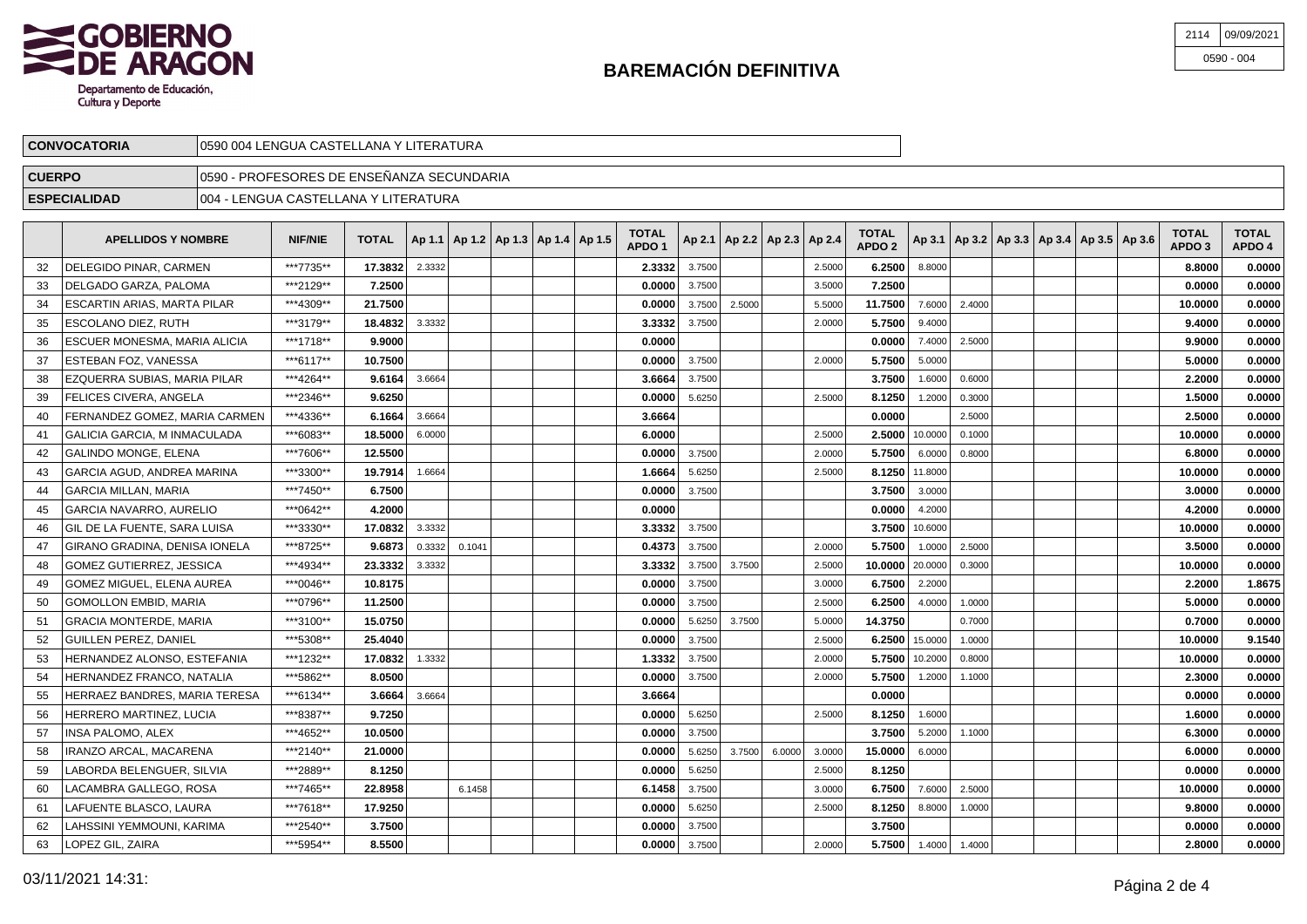

| 2114 09/09/2021 |
|-----------------|
| $0590 - 004$    |

| <b>CONVOCATORIA</b> | /l0590 004 LENGUA CASTELLANA Y LITERATURA  |  |
|---------------------|--------------------------------------------|--|
| <b>CUERPO</b>       | 10590 - PROFESORES DE ENSEÑANZA SECUNDARIA |  |
| <b>ESPECIALIDAD</b> | LENGUA CASTELLANA Y LITERATURA<br>004 ا    |  |

|     | <b>APELLIDOS Y NOMBRE</b>         | <b>NIF/NIE</b> | <b>TOTAL</b> |        | Ap 1.1   Ap 1.2   Ap 1.3   Ap 1.4   Ap 1.5 |  | TOTAL<br>APDO <sub>1</sub> |        | Ap 2.1   Ap 2.2   Ap 2.3   Ap 2.4 |        |        | <b>TOTAL</b><br>APDO <sub>2</sub> |         |        |  | Ap 3.1   Ap 3.2   Ap 3.3   Ap 3.4   Ap 3.5   Ap 3.6 | <b>TOTAL</b><br>APDO <sub>3</sub> | <b>TOTAL</b><br>APDO 4 |
|-----|-----------------------------------|----------------|--------------|--------|--------------------------------------------|--|----------------------------|--------|-----------------------------------|--------|--------|-----------------------------------|---------|--------|--|-----------------------------------------------------|-----------------------------------|------------------------|
| 32  | DELEGIDO PINAR, CARMEN            | ***7735**      | 17.3832      | 2.3332 |                                            |  | 2.3332                     | 3.7500 |                                   |        | 2.5000 | 6.2500                            | 8.8000  |        |  |                                                     | 8.8000                            | 0.0000                 |
| 33  | DELGADO GARZA, PALOMA             | ***2129**      | 7.2500       |        |                                            |  | 0.0000                     | 3.7500 |                                   |        | 3.5000 | 7.2500                            |         |        |  |                                                     | 0.0000                            | 0.0000                 |
| -34 | ESCARTIN ARIAS, MARTA PILAR       | ***4309**      | 21.7500      |        |                                            |  | 0.0000                     | 3.7500 | 2.5000                            |        | 5.5000 | 11.7500                           | 7.6000  | 2.4000 |  |                                                     | 10.0000                           | 0.0000                 |
| 35  | <b>ESCOLANO DIEZ, RUTH</b>        | ***3179**      | 18.4832      | 3.3332 |                                            |  | 3.3332                     | 3.7500 |                                   |        | 2.0000 | 5.7500                            | 9.4000  |        |  |                                                     | 9.4000                            | 0.0000                 |
| 36  | ESCUER MONESMA, MARIA ALICIA      | ***1718**      | 9.9000       |        |                                            |  | 0.0000                     |        |                                   |        |        | 0.0000                            | 7.4000  | 2.5000 |  |                                                     | 9.9000                            | 0.0000                 |
| 37  | <b>ESTEBAN FOZ. VANESSA</b>       | ***6117**      | 10.7500      |        |                                            |  | 0.0000                     | 3.7500 |                                   |        | 2.0000 | 5.7500                            | 5.0000  |        |  |                                                     | 5.0000                            | 0.0000                 |
| 38  | EZQUERRA SUBIAS, MARIA PILAR      | ***4264**      | 9.6164       | 3.6664 |                                            |  | 3.6664                     | 3.7500 |                                   |        |        | 3.7500                            | 1.6000  | 0.6000 |  |                                                     | 2.2000                            | 0.0000                 |
| 39  | <b>FELICES CIVERA, ANGELA</b>     | ***2346**      | 9.6250       |        |                                            |  | 0.0000                     | 5.6250 |                                   |        | 2.5000 | 8.1250                            | 1.2000  | 0.3000 |  |                                                     | 1.5000                            | 0.0000                 |
| 40  | FERNANDEZ GOMEZ, MARIA CARMEN     | ***4336**      | 6.1664       | 3.6664 |                                            |  | 3.6664                     |        |                                   |        |        | 0.0000                            |         | 2.5000 |  |                                                     | 2.5000                            | 0.0000                 |
| 41  | GALICIA GARCIA. M INMACULADA      | ***6083**      | 18.5000      | 6.0000 |                                            |  | 6.0000                     |        |                                   |        | 2.5000 | 2.5000                            | 10.0000 | 0.1000 |  |                                                     | 10.0000                           | 0.0000                 |
| 42  | <b>GALINDO MONGE, ELENA</b>       | ***7606**      | 12.5500      |        |                                            |  | 0.0000                     | 3.7500 |                                   |        | 2.0000 | 5.7500                            | 6.0000  | 0.8000 |  |                                                     | 6.8000                            | 0.0000                 |
| 43  | <b>GARCIA AGUD, ANDREA MARINA</b> | ***3300**      | 19.7914      | 1.6664 |                                            |  | 1.6664                     | 5.6250 |                                   |        | 2.5000 | 8.1250                            | 11.8000 |        |  |                                                     | 10.0000                           | 0.0000                 |
| 44  | <b>GARCIA MILLAN, MARIA</b>       | ***7450**      | 6.7500       |        |                                            |  | 0.0000                     | 3.7500 |                                   |        |        | 3.7500                            | 3.0000  |        |  |                                                     | 3.0000                            | 0.0000                 |
| 45  | <b>GARCIA NAVARRO, AURELIO</b>    | ***0642**      | 4.2000       |        |                                            |  | 0.0000                     |        |                                   |        |        | 0.0000                            | 4.2000  |        |  |                                                     | 4.2000                            | 0.0000                 |
| 46  | GIL DE LA FUENTE, SARA LUISA      | ***3330**      | 17.0832      | 3.3332 |                                            |  | 3.3332                     | 3.7500 |                                   |        |        | 3.7500                            | 10.6000 |        |  |                                                     | 10.0000                           | 0.0000                 |
| 47  | GIRANO GRADINA, DENISA IONELA     | ***8725**      | 9.6873       | 0.3332 | 0.1041                                     |  | 0.4373                     | 3.7500 |                                   |        | 2.0000 | 5.7500                            | 1.0000  | 2.5000 |  |                                                     | 3.5000                            | 0.0000                 |
| 48  | <b>GOMEZ GUTIERREZ, JESSICA</b>   | ***4934**      | 23.3332      | 3.3332 |                                            |  | 3.3332                     | 3.7500 | 3.7500                            |        | 2.5000 | 10.0000                           | 20.0000 | 0.3000 |  |                                                     | 10.0000                           | 0.0000                 |
| 49  | <b>GOMEZ MIGUEL, ELENA AUREA</b>  | ***0046**      | 10.8175      |        |                                            |  | 0.0000                     | 3.7500 |                                   |        | 3.0000 | 6.7500                            | 2.2000  |        |  |                                                     | 2.2000                            | 1.8675                 |
| 50  | <b>GOMOLLON EMBID, MARIA</b>      | ***0796**      | 11.2500      |        |                                            |  | 0.0000                     | 3.7500 |                                   |        | 2.5000 | 6.2500                            | 4.0000  | 1.0000 |  |                                                     | 5.0000                            | 0.0000                 |
| 51  | <b>GRACIA MONTERDE, MARIA</b>     | ***3100**      | 15.0750      |        |                                            |  | 0.0000                     | 5.6250 | 3.7500                            |        | 5.0000 | 14.3750                           |         | 0.7000 |  |                                                     | 0.7000                            | 0.0000                 |
| 52  | <b>GUILLEN PEREZ, DANIEL</b>      | ***5308**      | 25.4040      |        |                                            |  | 0.0000                     | 3.7500 |                                   |        | 2.5000 | 6.2500                            | 15.0000 | 1.0000 |  |                                                     | 10.0000                           | 9.1540                 |
| 53  | HERNANDEZ ALONSO, ESTEFANIA       | ***1232**      | 17.0832      | 1.3332 |                                            |  | 1.3332                     | 3.7500 |                                   |        | 2.0000 | 5.7500                            | 10.2000 | 0.8000 |  |                                                     | 10.0000                           | 0.0000                 |
| 54  | HERNANDEZ FRANCO, NATALIA         | ***5862**      | 8.0500       |        |                                            |  | 0.0000                     | 3.7500 |                                   |        | 2.0000 | 5.7500                            | 1.2000  | 1.1000 |  |                                                     | 2.3000                            | 0.0000                 |
| 55  | HERRAEZ BANDRES, MARIA TERESA     | ***6134**      | 3.6664       | 3.6664 |                                            |  | 3.6664                     |        |                                   |        |        | 0.0000                            |         |        |  |                                                     | 0.0000                            | 0.0000                 |
| 56  | HERRERO MARTINEZ, LUCIA           | ***8387**      | 9.7250       |        |                                            |  | 0.0000                     | 5.6250 |                                   |        | 2.5000 | 8.1250                            | 1.6000  |        |  |                                                     | 1.6000                            | 0.0000                 |
| 57  | <b>INSA PALOMO, ALEX</b>          | ***4652**      | 10.0500      |        |                                            |  | 0.0000                     | 3.7500 |                                   |        |        | 3.7500                            | 5.2000  | 1.1000 |  |                                                     | 6.3000                            | 0.0000                 |
| 58  | IRANZO ARCAL. MACARENA            | ***2140**      | 21.0000      |        |                                            |  | 0.0000                     | 5.6250 | 3.7500                            | 6.0000 | 3.0000 | 15.0000                           | 6.0000  |        |  |                                                     | 6.0000                            | 0.0000                 |
| 59  | LABORDA BELENGUER. SILVIA         | ***2889**      | 8.1250       |        |                                            |  | 0.0000                     | 5.6250 |                                   |        | 2.5000 | 8.1250                            |         |        |  |                                                     | 0.0000                            | 0.0000                 |
| 60  | LACAMBRA GALLEGO, ROSA            | ***7465**      | 22.8958      |        | 6.1458                                     |  | 6.1458                     | 3.7500 |                                   |        | 3.0000 | 6.7500                            | 7.6000  | 2.5000 |  |                                                     | 10.0000                           | 0.0000                 |
| 61  | LAFUENTE BLASCO. LAURA            | ***7618**      | 17.9250      |        |                                            |  | 0.0000                     | 5.6250 |                                   |        | 2.5000 | 8.1250                            | 8.8000  | 1.0000 |  |                                                     | 9.8000                            | 0.0000                 |
| 62  | LAHSSINI YEMMOUNI, KARIMA         | ***2540**      | 3.7500       |        |                                            |  | 0.0000                     | 3.7500 |                                   |        |        | 3.7500                            |         |        |  |                                                     | 0.0000                            | 0.0000                 |
| 63  | LOPEZ GIL, ZAIRA                  | ***5954**      | 8.5500       |        |                                            |  | 0.0000                     | 3.7500 |                                   |        | 2.0000 | 5.7500                            | 1.4000  | 1.4000 |  |                                                     | 2.8000                            | 0.0000                 |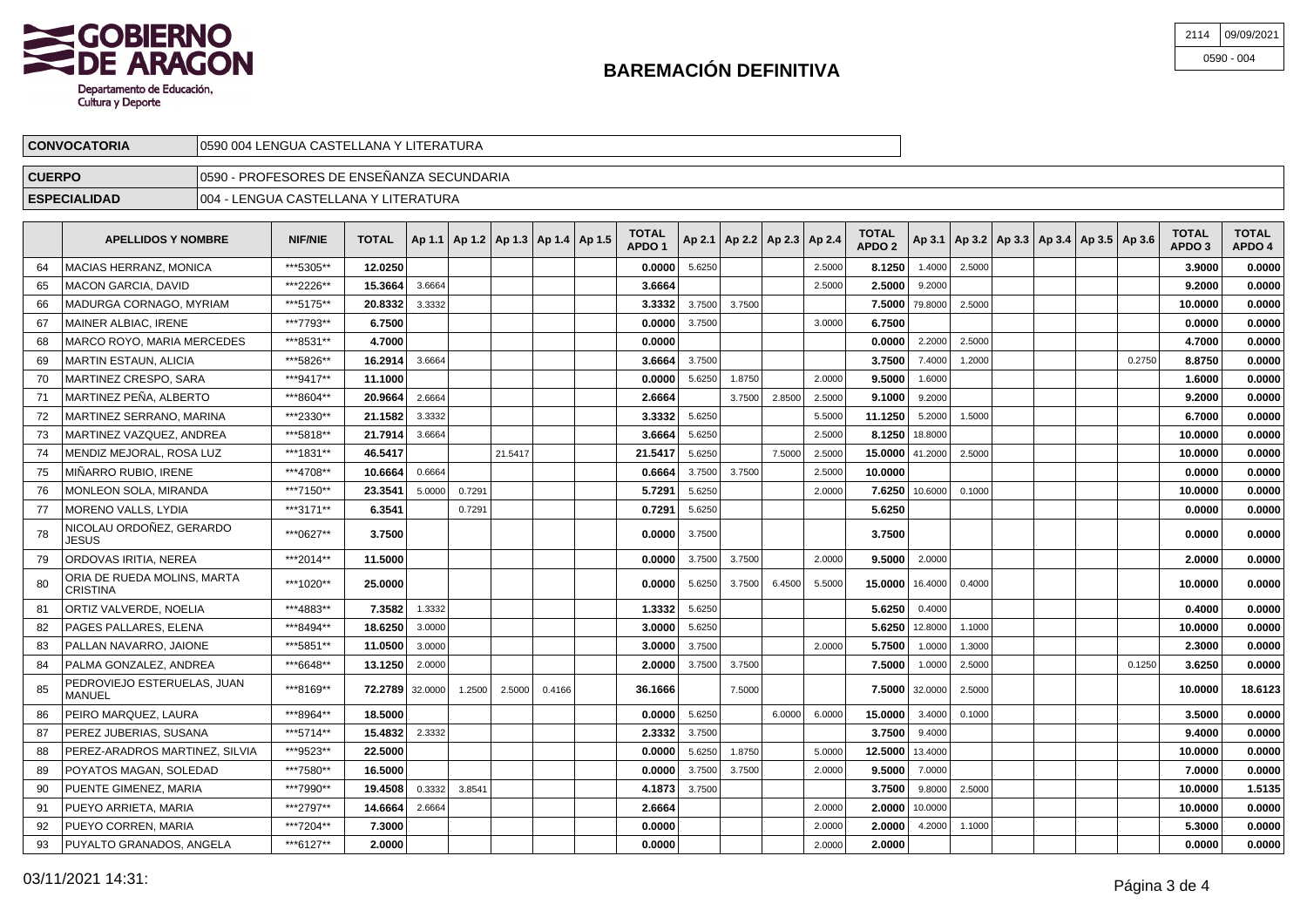

| 2114 09/09/2021 |
|-----------------|
| $0590 - 004$    |

| <b>CONVOCATORIA</b> | 10590 004 LENGUA CASTELLANA Y LITERATURA   |  |
|---------------------|--------------------------------------------|--|
| <b>CUERPO</b>       | ¶0590 - PROFESORES DE ENSEÑANZA SECUNDARIA |  |
| <b>ESPECIALIDAD</b> | 1004 - LENGUA CASTELLANA Y LITERATURA      |  |

|     | <b>APELLIDOS Y NOMBRE</b>                      | <b>NIF/NIE</b> | <b>TOTAL</b> |         | Ap 1.1   Ap 1.2   Ap 1.3   Ap 1.4   Ap 1.5 |         |        | <b>TOTAL</b><br>APDO <sub>1</sub> |        | Ap 2.1   Ap 2.2   Ap 2.3   Ap 2.4 |        |        | <b>TOTAL</b><br>APDO <sub>2</sub> |                |        |  | Ap 3.1   Ap 3.2   Ap 3.3   Ap 3.4   Ap 3.5   Ap 3.6 |        | <b>TOTAL</b><br>APDO <sub>3</sub> | <b>TOTAL</b><br>APDO 4 |
|-----|------------------------------------------------|----------------|--------------|---------|--------------------------------------------|---------|--------|-----------------------------------|--------|-----------------------------------|--------|--------|-----------------------------------|----------------|--------|--|-----------------------------------------------------|--------|-----------------------------------|------------------------|
| 64  | MACIAS HERRANZ. MONICA                         | ***5305**      | 12.0250      |         |                                            |         |        | 0.0000                            | 5.6250 |                                   |        | 2.5000 | 8.1250                            | 1.4000         | 2.5000 |  |                                                     |        | 3.9000                            | 0.0000                 |
| 65  | <b>MACON GARCIA, DAVID</b>                     | ***2226**      | 15.3664      | 3.6664  |                                            |         |        | 3.6664                            |        |                                   |        | 2.5000 | 2.5000                            | 9.2000         |        |  |                                                     |        | 9.2000                            | 0.0000                 |
| 66  | MADURGA CORNAGO, MYRIAM                        | ***5175**      | 20.8332      | 3.3332  |                                            |         |        | 3.3332                            | 3.7500 | 3.7500                            |        |        | 7.5000                            | 79.8000        | 2.5000 |  |                                                     |        | 10.0000                           | 0.0000                 |
| 67  | MAINER ALBIAC, IRENE                           | ***7793**      | 6.7500       |         |                                            |         |        | 0.0000                            | 3.7500 |                                   |        | 3.0000 | 6.7500                            |                |        |  |                                                     |        | 0.0000                            | 0.0000                 |
| 68  | MARCO ROYO, MARIA MERCEDES                     | ***8531**      | 4.7000       |         |                                            |         |        | 0.0000                            |        |                                   |        |        | 0.0000                            | 2.2000         | 2.5000 |  |                                                     |        | 4.7000                            | 0.0000                 |
| 69  | MARTIN ESTAUN, ALICIA                          | ***5826**      | 16.2914      | 3.6664  |                                            |         |        | 3.6664                            | 3.7500 |                                   |        |        | 3.7500                            | 7.4000         | 1.2000 |  |                                                     | 0.2750 | 8.8750                            | 0.0000                 |
| 70  | <b>MARTINEZ CRESPO, SARA</b>                   | ***9417**      | 11.1000      |         |                                            |         |        | 0.0000                            | 5.6250 | 1.8750                            |        | 2.0000 | 9.5000                            | 1.6000         |        |  |                                                     |        | 1.6000                            | 0.0000                 |
| 71  | MARTINEZ PEÑA, ALBERTO                         | ***8604**      | 20.9664      | 2.6664  |                                            |         |        | 2.6664                            |        | 3.7500                            | 2.8500 | 2.5000 | 9.1000                            | 9.2000         |        |  |                                                     |        | 9.2000                            | 0.0000                 |
| 72  | MARTINEZ SERRANO, MARINA                       | ***2330**      | 21.1582      | 3.3332  |                                            |         |        | 3.3332                            | 5.6250 |                                   |        | 5.5000 | 11.1250                           | 5.2000         | 1.5000 |  |                                                     |        | 6.7000                            | 0.0000                 |
| 73  | MARTINEZ VAZQUEZ, ANDREA                       | ***5818**      | 21.7914      | 3.6664  |                                            |         |        | 3.6664                            | 5.6250 |                                   |        | 2.5000 |                                   | 8.1250 18.8000 |        |  |                                                     |        | 10.0000                           | 0.0000                 |
| 74  | MENDIZ MEJORAL, ROSA LUZ                       | ***1831**      | 46.5417      |         |                                            | 21.5417 |        | 21.5417                           | 5.6250 |                                   | 7.5000 | 2.5000 | 15.0000 41.2000                   |                | 2.5000 |  |                                                     |        | 10.0000                           | 0.0000                 |
| 75  | MIÑARRO RUBIO. IRENE                           | ***4708**      | 10.6664      | 0.6664  |                                            |         |        | 0.6664                            | 3.7500 | 3.7500                            |        | 2.5000 | 10.0000                           |                |        |  |                                                     |        | 0.0000                            | 0.0000                 |
| 76  | MONLEON SOLA, MIRANDA                          | ***7150**      | 23.3541      | 5.0000  | 0.7291                                     |         |        | 5.729                             | 5.6250 |                                   |        | 2.0000 | 7.6250                            | 10.6000        | 0.1000 |  |                                                     |        | 10.0000                           | 0.0000                 |
| 77  | <b>MORENO VALLS, LYDIA</b>                     | ***3171**      | 6.3541       |         | 0.7291                                     |         |        | 0.7291                            | 5.6250 |                                   |        |        | 5.6250                            |                |        |  |                                                     |        | 0.0000                            | 0.0000                 |
| 78  | NICOLAU ORDOÑEZ, GERARDO<br>JESUS              | ***0627**      | 3.7500       |         |                                            |         |        | 0.0000                            | 3.7500 |                                   |        |        | 3.7500                            |                |        |  |                                                     |        | 0.0000                            | 0.0000                 |
| 79  | <b>ORDOVAS IRITIA, NEREA</b>                   | ***2014**      | 11.5000      |         |                                            |         |        | 0.0000                            | 3.7500 | 3.7500                            |        | 2.0000 | 9.5000                            | 2.0000         |        |  |                                                     |        | 2.0000                            | 0.0000                 |
| -80 | ORIA DE RUEDA MOLINS, MARTA<br><b>CRISTINA</b> | ***1020**      | 25.0000      |         |                                            |         |        | 0.0000                            | 5.6250 | 3.7500                            | 6.4500 | 5.5000 | 15.0000                           | 16.4000        | 0.4000 |  |                                                     |        | 10.0000                           | 0.0000                 |
| 81  | ORTIZ VALVERDE, NOELIA                         | ***4883**      | 7.3582       | 1.3332  |                                            |         |        | 1.3332                            | 5.6250 |                                   |        |        | 5.6250                            | 0.4000         |        |  |                                                     |        | 0.4000                            | 0.0000                 |
| 82  | PAGES PALLARES, ELENA                          | ***8494**      | 18.6250      | 3.0000  |                                            |         |        | 3.0000                            | 5.6250 |                                   |        |        | 5.6250                            | 12.8000        | 1.1000 |  |                                                     |        | 10.0000                           | 0.0000                 |
| 83  | PALLAN NAVARRO, JAIONE                         | ***5851**      | 11.0500      | 3.0000  |                                            |         |        | 3.0000                            | 3.7500 |                                   |        | 2.0000 | 5.7500                            | 1.0000         | 1.3000 |  |                                                     |        | 2.3000                            | 0.0000                 |
| 84  | PALMA GONZALEZ, ANDREA                         | ***6648**      | 13.1250      | 2.0000  |                                            |         |        | 2.0000                            | 3.7500 | 3.7500                            |        |        | 7.5000                            | 1.0000         | 2.5000 |  |                                                     | 0.1250 | 3.6250                            | 0.0000                 |
| 85  | PEDROVIEJO ESTERUELAS. JUAN<br>MANUEL          | ***8169**      | 72.2789      | 32,0000 | 1.2500                                     | 2.5000  | 0.4166 | 36.1666                           |        | 7.5000                            |        |        | 7.5000                            | 32.0000        | 2.5000 |  |                                                     |        | 10.0000                           | 18.6123                |
| 86  | PEIRO MARQUEZ, LAURA                           | ***8964**      | 18.5000      |         |                                            |         |        | 0.0000                            | 5.6250 |                                   | 6.0000 | 6.0000 | 15,0000                           | 3.4000         | 0.1000 |  |                                                     |        | 3.5000                            | 0.0000                 |
| 87  | PEREZ JUBERIAS, SUSANA                         | ***5714**      | 15.4832      | 2.3332  |                                            |         |        | 2.3332                            | 3.7500 |                                   |        |        | 3.7500                            | 9.4000         |        |  |                                                     |        | 9.4000                            | 0.0000                 |
| 88  | PEREZ-ARADROS MARTINEZ, SILVIA                 | ***9523**      | 22.5000      |         |                                            |         |        | 0.0000                            | 5.6250 | 1.8750                            |        | 5.0000 | 12,5000                           | 13.4000        |        |  |                                                     |        | 10.0000                           | 0.0000                 |
| 89  | POYATOS MAGAN, SOLEDAD                         | ***7580**      | 16.5000      |         |                                            |         |        | 0.0000                            | 3.7500 | 3.7500                            |        | 2.0000 | 9.5000                            | 7.0000         |        |  |                                                     |        | 7.0000                            | 0.0000                 |
| 90  | PUENTE GIMENEZ, MARIA                          | ***7990**      | 19.4508      | 0.3332  | 3.8541                                     |         |        | 4.1873                            | 3.7500 |                                   |        |        | 3.7500                            | 9.8000         | 2.5000 |  |                                                     |        | 10.0000                           | 1.5135                 |
| 91  | PUEYO ARRIETA, MARIA                           | ***2797**      | 14.6664      | 2.6664  |                                            |         |        | 2.6664                            |        |                                   |        | 2.0000 | 2.0000                            | 10.0000        |        |  |                                                     |        | 10.0000                           | 0.0000                 |
| 92  | PUEYO CORREN. MARIA                            | ***7204**      | 7.3000       |         |                                            |         |        | 0.0000                            |        |                                   |        | 2.0000 | 2.0000                            | 4.2000         | 1.1000 |  |                                                     |        | 5.3000                            | 0.0000                 |
| 93  | PUYALTO GRANADOS, ANGELA                       | ***6127**      | 2.0000       |         |                                            |         |        | 0.0000                            |        |                                   |        | 2.0000 | 2.0000                            |                |        |  |                                                     |        | 0.0000                            | 0.0000                 |